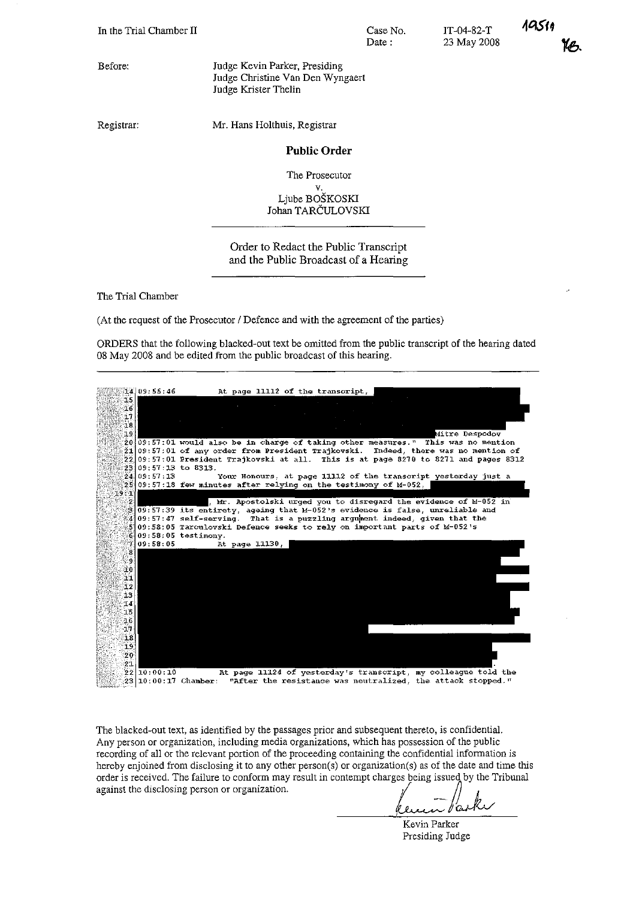Before:

Jndge Kevin Parker, Presiding Judge Christine Van Den Wyngaert Iudge Krister Thelin

Registrar:

Mr. Hans Holthuis, Registrar

# **Public Order**

Case No. Date:

**The Prosecutor** v.

Ljube BOSKOSKI Johan TARCULOVSKI

# Order to Redact the Public Transcript and the Public Broadcast of a Hearing

The Trial Chamber

(At the request of the Prosecutor / Defence and with the agreement of the parties)

ORDERS that the following blacked-out text be omitted from the pnblic transcript of the hearing dated 08 May 2008 and be edited from the public broadcast of this hearing.



The blacked-out text, as identified by the passages prior and subsequent thereto, is confidential. **Any person or organization, including media organizations, which has possession of the public recording of all or the relevant portion of the proceeding containing the confidential information is** hereby enjoined from disclosing it to any other person(s) or organization(s) as of the date and time this order *is* received. The failure to conform may result in contempt charges being issued by the Tribunal hereby enjoined from disclosing it to any other person(s) or organization(s) as of the date and order is received. The failure to conform may result in contempt charges being issued by the lagainst the disclosing person o

 $\theta$  $\Omega$  $\overline{u}$ 

**Kevin Parker** Presiding Judge

IT-04-82-T 23 May 2008

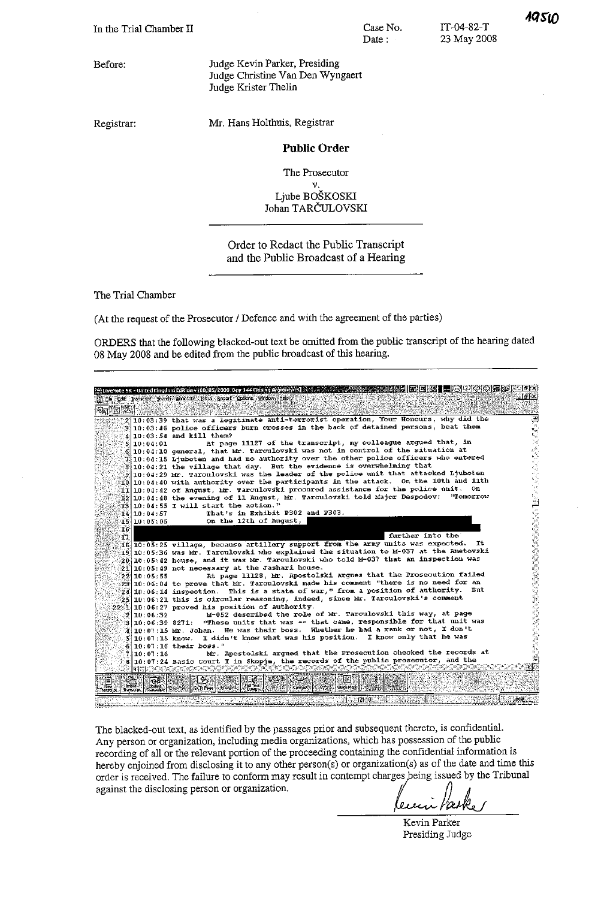Before:

Judge Kevin Parker, Presiding Judge Christine Van Den Wyngaert Judge Krister Thelin

Registrar:

Mr. Hans Holthuis, Registrar

### **Public Order**

The Prosecutor

 $\mathbf{v}$ Ljube BOŠKOSKI Johan TARČULOVSKI

Order to Redact the Public Transcript and the Public Broadcast of a Hearing

The Trial Chamber

(At the request of the Prosecutor / Defence and with the agreement of the parties)

ORDERS that the following blacked-out text be omitted from the public transcript of the hearing dated 08 May 2008 and be edited from the public broadcast of this hearing.

|                                                   |                                                 | ExcliveNote SR - United Kingdom Edition - [00/05/2008 Day 144 Closing Arguments]                                                                                                                    |  |
|---------------------------------------------------|-------------------------------------------------|-----------------------------------------------------------------------------------------------------------------------------------------------------------------------------------------------------|--|
|                                                   |                                                 | . 18⊪×1<br>E. Ele Edit Transcript Search Annotate Issue Report Options Window Help                                                                                                                  |  |
|                                                   |                                                 |                                                                                                                                                                                                     |  |
|                                                   |                                                 |                                                                                                                                                                                                     |  |
|                                                   |                                                 | $2 10;03:39$ that was a legitimate anti-terrorist operation, Your Honours, why did the<br>÷<br>$3 10:03:46$ police officers burn crosses in the back of detained persons, beat them                 |  |
|                                                   |                                                 | $4 10:03:54$ and kill them?                                                                                                                                                                         |  |
|                                                   | 5 10 : 04 : 01                                  | At page 11127 of the transcript, my colleague arqued that, in                                                                                                                                       |  |
|                                                   |                                                 | 6 10:04:10 general, that Mr. Tarculovski was not in control of the situation at                                                                                                                     |  |
|                                                   |                                                 | $\mathcal{I}$ 10:04:15 Liuboten and had no authority over the other police officers who entered                                                                                                     |  |
|                                                   |                                                 | $\theta$ 10:04:21 the village that day. But the evidence is overwhelming that                                                                                                                       |  |
|                                                   |                                                 | $\tilde{g} [10:04:29$ Mr. Tarculovski was the leader of the police unit that attacked Ljuboten                                                                                                      |  |
|                                                   |                                                 | $\mathbb{E}[\mathbb{E}_k] \, \mathbb{10}_3 \, \mathbb{0} \, \mathbb{0} \, \mathbb{1} \, \mathbb{1} \, \mathbb{1} \, \mathbb{1}$ authority over the participants in the attack. On the 10th and 11th |  |
|                                                   |                                                 | $\mathbb{H}[10:04:42$ of Angust, Mr. Tarculovski procured assistance for the police unit. On                                                                                                        |  |
|                                                   |                                                 | $\mathbb{H}2 10:04:48$ the evening of 11 August, Mr. Tarculovski told Major Despodov:<br><b>"Tomorrow</b>                                                                                           |  |
|                                                   |                                                 | $[13 10:04:55]$ I will start the action."                                                                                                                                                           |  |
|                                                   | 14110:04:57                                     | That's in Exhibit P302 and P303.                                                                                                                                                                    |  |
|                                                   | 15110:05:05                                     | On the 12th of August,                                                                                                                                                                              |  |
| 16                                                |                                                 |                                                                                                                                                                                                     |  |
| 17                                                |                                                 | further into the                                                                                                                                                                                    |  |
|                                                   |                                                 | $[16]$ 10:05:25 village, because artillery support from the army units was expected.<br>It.                                                                                                         |  |
|                                                   |                                                 | $19.10:05:36$ was Mr. Tarculovski who explained the situation to M-037 at the Ametovski                                                                                                             |  |
|                                                   |                                                 | $20\,10\,05\,42$ house, and it was Mr. Tarculovski who told M-037 that an inspection was                                                                                                            |  |
|                                                   |                                                 | 21 10:05:49 not necessary at the Jashari house.                                                                                                                                                     |  |
|                                                   | 22 10 05:55                                     | At page 11128, Mr. Apostolski argues that the Prosecution failed                                                                                                                                    |  |
|                                                   |                                                 | $23 10:06:04$ to prove that Mr. Tarculovski made his comment "there is no need for an                                                                                                               |  |
|                                                   |                                                 | $24 10:06:14$ inspection. This is a state of war," from a position of authority. But<br>$[25]10;06;21$ this is circular reasoning, indeed, since Mr. Tarculovski's comment                          |  |
|                                                   |                                                 | 22:1 10:06:27 proved his position of authority.                                                                                                                                                     |  |
|                                                   | 2110.06:32                                      | M-052 described the role of Mr. Tarculovski this way, at page                                                                                                                                       |  |
|                                                   | 3110:06:39 8271:                                | "These units that was -- that came, responsible for that unit was                                                                                                                                   |  |
|                                                   |                                                 | 10:07:15 Mr. Johan. He was their boss. Whether he had a rank or not, I don't                                                                                                                        |  |
|                                                   | 5 10:07:15 know                                 | I didn't know what was his position. I know only that he was                                                                                                                                        |  |
|                                                   |                                                 | $6 10:07:16$ their boss."                                                                                                                                                                           |  |
|                                                   | 7110:07:16                                      | Mr. Apostolski argued that the Prosecution checked the records at                                                                                                                                   |  |
|                                                   |                                                 | 8 10:07:24 Basic Court I in Skopje, the records of the public prosecutor, and the                                                                                                                   |  |
| <b>TIES</b>                                       |                                                 |                                                                                                                                                                                                     |  |
| <b>Intern</b><br>New-<br>Transcript.<br>tansalot. | юL<br>Uodate<br><b><i><u>Franscript</u></i></b> | Dв<br>厘<br>- Dr<br>رطبة<br>ul Text:<br>Ouery<br>Quick Mark<br>$\epsilon$ Connect $x \mathbb{R}$<br><b>Administration</b><br>Co To Page                                                              |  |
|                                                   |                                                 | Local<br>ැ(21:10)                                                                                                                                                                                   |  |

The blacked-out text, as identified by the passages prior and subsequent thereto, is confidential. Any person or organization, including media organizations, which has possession of the public recording of all or the relevant portion of the proceeding containing the confidential information is hereby enjoined from disclosing it to any other person(s) or organization(s) as of the date and time this order is received. The failure to conform may result in contempt charges being issued by the Tribunal against the disclosing person or organization.

l a s D

Kevin Parker Presiding Judge

IT-04-82-T

23 May 2008